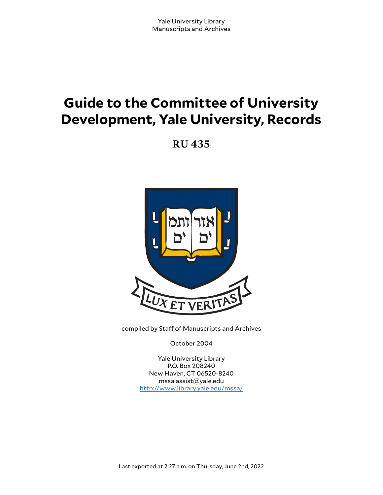# **Guide to the Committee of University Development, Yale University, Records**

**RU 435**



compiled by Staff of Manuscripts and Archives

October 2004

Yale University Library P.O. Box 208240 New Haven, CT 06520-8240 mssa.assist@yale.edu <http://www.library.yale.edu/mssa/>

Last exported at 2:27 a.m. on Thursday, June 2nd, 2022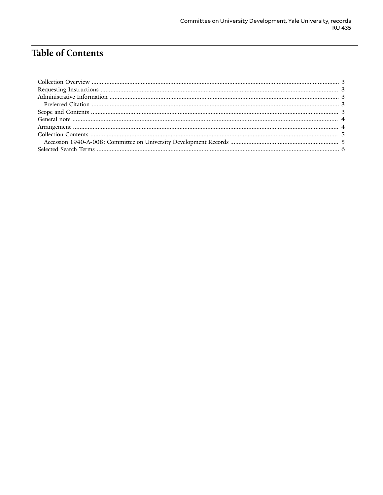## **Table of Contents**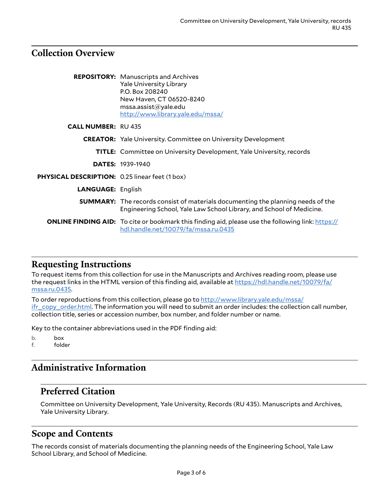#### <span id="page-2-0"></span>**Collection Overview**

|                                                       | <b>REPOSITORY:</b> Manuscripts and Archives<br><b>Yale University Library</b><br>P.O. Box 208240<br>New Haven, CT 06520-8240<br>mssa.assist@yale.edu<br>http://www.library.yale.edu/mssa/ |
|-------------------------------------------------------|-------------------------------------------------------------------------------------------------------------------------------------------------------------------------------------------|
| <b>CALL NUMBER: RU 435</b>                            |                                                                                                                                                                                           |
|                                                       | <b>CREATOR:</b> Yale University. Committee on University Development                                                                                                                      |
|                                                       | <b>TITLE:</b> Committee on University Development, Yale University, records                                                                                                               |
|                                                       | <b>DATES: 1939-1940</b>                                                                                                                                                                   |
| <b>PHYSICAL DESCRIPTION:</b> 0.25 linear feet (1 box) |                                                                                                                                                                                           |
| <b>LANGUAGE: English</b>                              |                                                                                                                                                                                           |
|                                                       | <b>SUMMARY:</b> The records consist of materials documenting the planning needs of the<br>Engineering School, Yale Law School Library, and School of Medicine.                            |
|                                                       | <b>ONLINE FINDING AID:</b> To cite or bookmark this finding aid, please use the following link: https://<br>hdl.handle.net/10079/fa/mssa.ru.0435                                          |

## <span id="page-2-1"></span>**Requesting Instructions**

To request items from this collection for use in the Manuscripts and Archives reading room, please use the request links in the HTML version of this finding aid, available at [https://hdl.handle.net/10079/fa/](https://hdl.handle.net/10079/fa/mssa.ru.0435) [mssa.ru.0435.](https://hdl.handle.net/10079/fa/mssa.ru.0435)

To order reproductions from this collection, please go to [http://www.library.yale.edu/mssa/](http://www.library.yale.edu/mssa/ifr_copy_order.html) [ifr\\_copy\\_order.html.](http://www.library.yale.edu/mssa/ifr_copy_order.html) The information you will need to submit an order includes: the collection call number, collection title, series or accession number, box number, and folder number or name.

Key to the container abbreviations used in the PDF finding aid:

b. box f. folder

## <span id="page-2-2"></span>**Administrative Information**

#### <span id="page-2-3"></span>**Preferred Citation**

Committee on University Development, Yale University, Records (RU 435). Manuscripts and Archives, Yale University Library.

#### <span id="page-2-4"></span>**Scope and Contents**

The records consist of materials documenting the planning needs of the Engineering School, Yale Law School Library, and School of Medicine.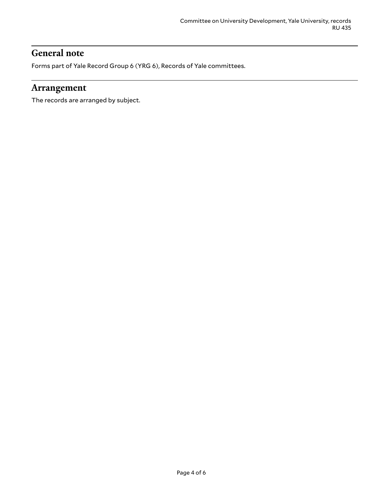#### <span id="page-3-0"></span>**General note**

Forms part of Yale Record Group 6 (YRG 6), Records of Yale committees.

#### <span id="page-3-1"></span>**Arrangement**

The records are arranged by subject.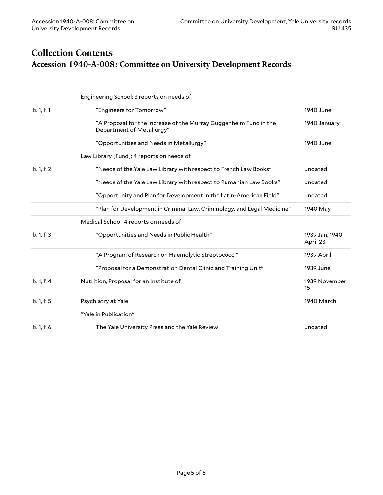## <span id="page-4-1"></span><span id="page-4-0"></span>**Collection Contents Accession 1940-A-008: Committee on University Development Records**

|            | Engineering School; 3 reports on needs of                                                      |                            |
|------------|------------------------------------------------------------------------------------------------|----------------------------|
| b. 1, f. 1 | "Engineers for Tomorrow"                                                                       | 1940 June                  |
|            | "A Proposal for the Increase of the Murray Guggenheim Fund in the<br>Department of Metallurgy" | 1940 January               |
|            | "Opportunities and Needs in Metallurgy"                                                        | 1940 June                  |
|            | Law Library [Fund]; 4 reports on needs of                                                      |                            |
| b. 1, f. 2 | "Needs of the Yale Law Library with respect to French Law Books"                               | undated                    |
|            | "Needs of the Yale Law Library with respect to Rumanian Law Books"                             | undated                    |
|            | "Opportunity and Plan for Development in the Latin-American Field"                             | undated                    |
|            | "Plan for Development in Criminal Law, Criminology, and Legal Medicine"                        | 1940 May                   |
|            | Medical School; 4 reports on needs of                                                          |                            |
| b. 1, f. 3 | "Opportunities and Needs in Public Health"                                                     | 1939 Jan, 1940<br>April 23 |
|            | "A Program of Research on Haemolytic Streptococci"                                             | 1939 April                 |
|            | "Proposal for a Demonstration Dental Clinic and Training Unit"                                 | 1939 June                  |
| b. 1, f. 4 | Nutrition, Proposal for an Institute of                                                        | 1939 November<br>15        |
| b. 1, f. 5 | Psychiatry at Yale                                                                             | 1940 March                 |
|            | "Yale in Publication"                                                                          |                            |
| b. 1, f. 6 | The Yale University Press and the Yale Review                                                  | undated                    |